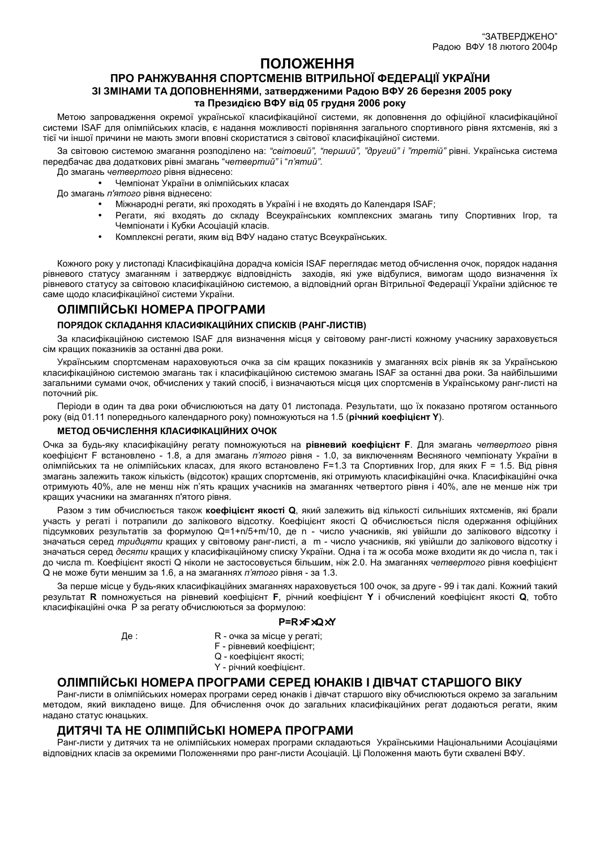# ПОЛОЖЕННЯ

## ПРО РАНЖУВАННЯ СПОРТСМЕНІВ ВІТРИЛЬНОЇ ФЕДЕРАЦІЇ УКРАЇНИ 3I ЗМІНАМИ ТА ДОПОВНЕННЯМИ, затвердженими Радою ВФУ 26 березня 2005 року та Президією ВФУ від 05 грудня 2006 року

Метою запровадження окремої української класифікаційної системи, як доповнення до офіційної класифікаційної системи ISAF для олімпійських класів, є надання можливості порівняння загального спортивного рівня яхтсменів, які з тієї чи іншої причини не мають змоги вповні скористатися з світової класифікаційної системи.

За світовою системою змагання розподілено на: "світовий", "перший", "другий" і "третій" рівні. Українська система передбачає два додаткових рівні змагань "четвертий" і "п'ятий".

До змагань четвертого рівня віднесено:

Чемпіонат України в олімпійських класах

До змагань п'ятого рівня віднесено:

- Міжнародні регати, які проходять в Україні і не входять до Календаря ISAF;
- Регати, які входять до складу Всеукраїнських комплексних змагань типу Спортивних Ігор, та Чемпіонати і Кубки Асоціацій класів.
- Комплексні регати, яким від ВФУ надано статус Всеукраїнських.

Кожного року у листопаді Класифікаційна дорадча комісія ISAF переглядає метод обчислення очок, порядок надання рівневого статусу змаганням і затверджує відповідність заходів, які уже відбулися, вимогам щодо визначення їх рівневого статусу за світовою класифікаційною системою, а відповідний орган Вітрильної Федерації України здійснює те саме щодо класифікаційної системи України.

## ОЛІМПІЙСЬКІ НОМЕРА ПРОГРАМИ

### ПОРЯДОК СКЛАДАННЯ КЛАСИФІКАЦІЙНИХ СПИСКІВ (РАНГ-ЛИСТІВ)

За класифікаційною системою ISAF для визначення місця у світовому ранг-листі кожному учаснику зараховується сім кращих показників за останні два роки.

Українським спортсменам нараховуються очка за сім кращих показників у змаганнях всіх рівнів як за Українською класифікаційною системою змагань так і класифікаційною системою змагань ISAF за останні два роки. За найбільшими загальними сумами очок, обчислених у такий спосіб, і визначаються місця цих спортсменів в Українському ранг-листі на поточний рік.

Періоди в один та два роки обчислюються на дату 01 листопада. Результати, що їх показано протягом останнього року (від 01.11 попереднього календарного року) помножуються на 1.5 (річний коефіцієнт Y).

#### МЕТОД ОБЧИСЛЕННЯ КЛАСИФІКАЦІЙНИХ ОЧОК

Очка за будь-яку класифікаційну регату помножуються на рівневий коефіцієнт F. Для змагань четвертого рівня коефіцієнт F встановлено - 1.8, а для змагань п'ятого рівня - 1.0, за виключенням Весняного чемпіонату України в олімпійських та не олімпійських класах, для якого встановлено F=1.3 та Спортивних Ігор, для яких F = 1.5. Від рівня змагань залежить також кількість (відсоток) кращих спортсменів, які отримують класифікаційні очка. Класифікаційні очка отримують 40%, але не менш ніж п'ять кращих учасників на змаганнях четвертого рівня і 40%, але не менше ніж три краших учасники на змаганнях п'ятого рівня.

Разом з тим обчислюється також коефіцієнт якості Q, який залежить від кількості сильніших яхтсменів, які брали участь у регаті і потрапили до залікового відсотку. Коефіцієнт якості Q обчислюється після одержання офіційних підсумкових результатів за формулою Q=1+n/5+m/10, де n - число учасників, які увійшли до залікового відсотку і значаться серед тридцяти кращих у світовому ранг-листі, а т - число учасників, які увійшли до залікового відсотку і значаться серед десяти кращих у класифікаційному списку України. Одна і та ж особа може входити як до числа n. так і до числа m. Коефіцієнт якості Q ніколи не застосовується більшим, ніж 2.0. На змаганнях четвертого рівня коефіцієнт О не може бути меншим за 1.6, а на змаганнях п'ятого рівня - за 1.3.

За перше місце у будь-яких класифікаційних змаганнях нараховується 100 очок, за друге - 99 і так далі. Кожний такий результат R помножується на рівневий коефіцієнт F, річний коефіцієнт Y і обчислений коефіцієнт якості Q, тобто класифікаційні очка Р за регату обчислюються за формулою:

#### $P=R \times F \times Q \times Y$

Де :

- R очка за місце у регаті;
- F рівневий коефіцієнт;
- Q коефіцієнт якості;
- Y річний коефіцієнт.

## ОЛІМПІЙСЬКІ НОМЕРА ПРОГРАМИ СЕРЕД ЮНАКІВ І ДІВЧАТ СТАРШОГО ВІКУ

Ранг-листи в олімпійських номерах програми серед юнаків і дівчат старшого віку обчислюються окремо за загальним методом, який викладено вище. Для обчислення очок до загальних класифікаційних регат додаються регати, яким надано статус юнацьких.

## ДИТЯЧІ ТА НЕ ОЛІМПІЙСЬКІ НОМЕРА ПРОГРАМИ

Ранг-листи у дитячих та не олімпійських номерах програми складаються Українськими Національними Асоціаціями відповідних класів за окремими Положеннями про ранг-листи Асоціацій. Ці Положення мають бути схвалені ВФУ.